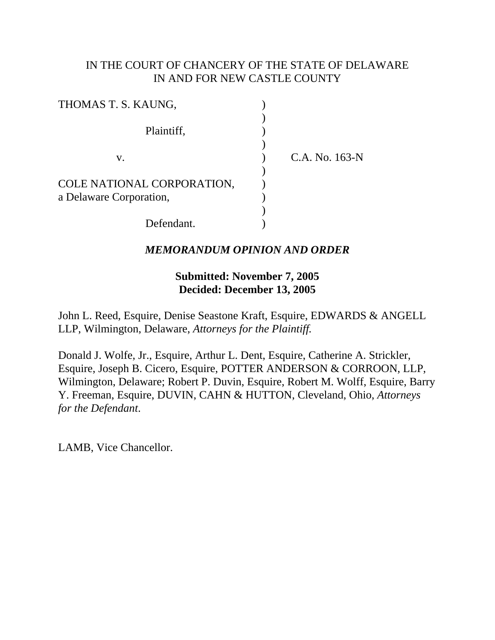## IN THE COURT OF CHANCERY OF THE STATE OF DELAWARE IN AND FOR NEW CASTLE COUNTY

| THOMAS T. S. KAUNG,        |                |
|----------------------------|----------------|
| Plaintiff,                 |                |
| V.                         | C.A. No. 163-N |
| COLE NATIONAL CORPORATION, |                |
| a Delaware Corporation,    |                |
| Defendant.                 |                |

## *MEMORANDUM OPINION AND ORDER*

## **Submitted: November 7, 2005 Decided: December 13, 2005**

John L. Reed, Esquire, Denise Seastone Kraft, Esquire, EDWARDS & ANGELL LLP, Wilmington, Delaware, *Attorneys for the Plaintiff.*

Donald J. Wolfe, Jr., Esquire, Arthur L. Dent, Esquire, Catherine A. Strickler, Esquire, Joseph B. Cicero, Esquire, POTTER ANDERSON & CORROON, LLP, Wilmington, Delaware; Robert P. Duvin, Esquire, Robert M. Wolff, Esquire, Barry Y. Freeman, Esquire, DUVIN, CAHN & HUTTON, Cleveland, Ohio, *Attorneys for the Defendant*.

LAMB, Vice Chancellor.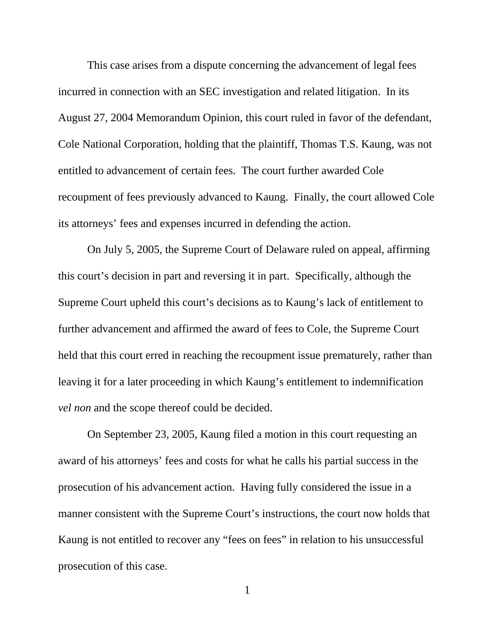This case arises from a dispute concerning the advancement of legal fees incurred in connection with an SEC investigation and related litigation. In its August 27, 2004 Memorandum Opinion, this court ruled in favor of the defendant, Cole National Corporation, holding that the plaintiff, Thomas T.S. Kaung, was not entitled to advancement of certain fees. The court further awarded Cole recoupment of fees previously advanced to Kaung. Finally, the court allowed Cole its attorneys' fees and expenses incurred in defending the action.

On July 5, 2005, the Supreme Court of Delaware ruled on appeal, affirming this court's decision in part and reversing it in part. Specifically, although the Supreme Court upheld this court's decisions as to Kaung's lack of entitlement to further advancement and affirmed the award of fees to Cole, the Supreme Court held that this court erred in reaching the recoupment issue prematurely, rather than leaving it for a later proceeding in which Kaung's entitlement to indemnification *vel non* and the scope thereof could be decided.

On September 23, 2005, Kaung filed a motion in this court requesting an award of his attorneys' fees and costs for what he calls his partial success in the prosecution of his advancement action. Having fully considered the issue in a manner consistent with the Supreme Court's instructions, the court now holds that Kaung is not entitled to recover any "fees on fees" in relation to his unsuccessful prosecution of this case.

1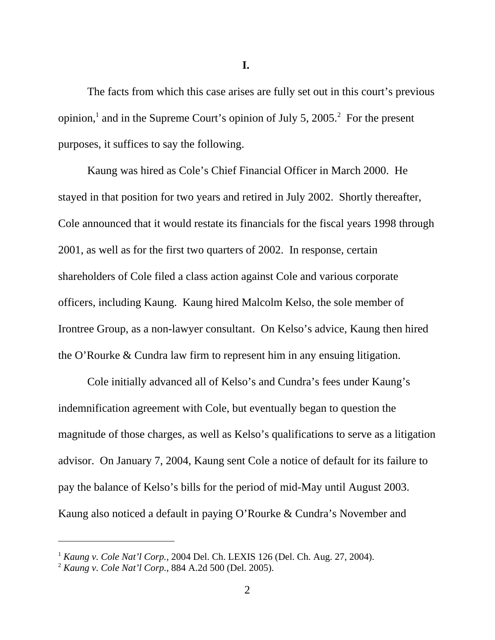**I.** 

The facts from which this case arises are fully set out in this court's previous opinion,<sup>1</sup> and in the Supreme Court's opinion of July 5, 2005.<sup>2</sup> For the present purposes, it suffices to say the following.

Kaung was hired as Cole's Chief Financial Officer in March 2000. He stayed in that position for two years and retired in July 2002. Shortly thereafter, Cole announced that it would restate its financials for the fiscal years 1998 through 2001, as well as for the first two quarters of 2002. In response, certain shareholders of Cole filed a class action against Cole and various corporate officers, including Kaung. Kaung hired Malcolm Kelso, the sole member of Irontree Group, as a non-lawyer consultant. On Kelso's advice, Kaung then hired the O'Rourke & Cundra law firm to represent him in any ensuing litigation.

Cole initially advanced all of Kelso's and Cundra's fees under Kaung's indemnification agreement with Cole, but eventually began to question the magnitude of those charges, as well as Kelso's qualifications to serve as a litigation advisor. On January 7, 2004, Kaung sent Cole a notice of default for its failure to pay the balance of Kelso's bills for the period of mid-May until August 2003. Kaung also noticed a default in paying O'Rourke & Cundra's November and

<sup>1</sup> *Kaung v. Cole Nat'l Corp.,* 2004 Del. Ch. LEXIS 126 (Del. Ch. Aug. 27, 2004).

<sup>2</sup> *Kaung v. Cole Nat'l Corp.*, 884 A.2d 500 (Del. 2005).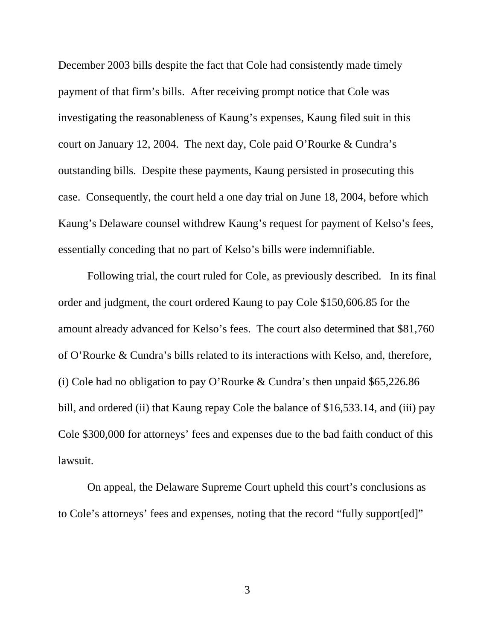December 2003 bills despite the fact that Cole had consistently made timely payment of that firm's bills. After receiving prompt notice that Cole was investigating the reasonableness of Kaung's expenses, Kaung filed suit in this court on January 12, 2004. The next day, Cole paid O'Rourke & Cundra's outstanding bills. Despite these payments, Kaung persisted in prosecuting this case. Consequently, the court held a one day trial on June 18, 2004, before which Kaung's Delaware counsel withdrew Kaung's request for payment of Kelso's fees, essentially conceding that no part of Kelso's bills were indemnifiable.

Following trial, the court ruled for Cole, as previously described. In its final order and judgment, the court ordered Kaung to pay Cole \$150,606.85 for the amount already advanced for Kelso's fees. The court also determined that \$81,760 of O'Rourke & Cundra's bills related to its interactions with Kelso, and, therefore, (i) Cole had no obligation to pay O'Rourke & Cundra's then unpaid \$65,226.86 bill, and ordered (ii) that Kaung repay Cole the balance of \$16,533.14, and (iii) pay Cole \$300,000 for attorneys' fees and expenses due to the bad faith conduct of this lawsuit.

On appeal, the Delaware Supreme Court upheld this court's conclusions as to Cole's attorneys' fees and expenses, noting that the record "fully support[ed]"

3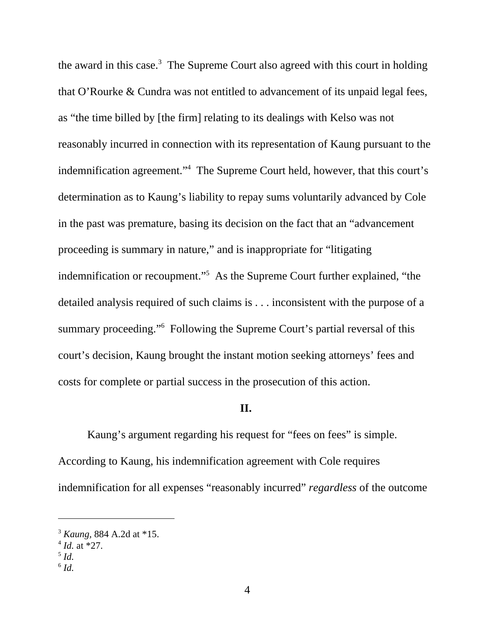the award in this case. $3$  The Supreme Court also agreed with this court in holding that O'Rourke & Cundra was not entitled to advancement of its unpaid legal fees, as "the time billed by [the firm] relating to its dealings with Kelso was not reasonably incurred in connection with its representation of Kaung pursuant to the indemnification agreement."<sup>4</sup> The Supreme Court held, however, that this court's determination as to Kaung's liability to repay sums voluntarily advanced by Cole in the past was premature, basing its decision on the fact that an "advancement proceeding is summary in nature," and is inappropriate for "litigating indemnification or recoupment."<sup>5</sup> As the Supreme Court further explained, "the detailed analysis required of such claims is . . . inconsistent with the purpose of a summary proceeding."<sup>6</sup> Following the Supreme Court's partial reversal of this court's decision, Kaung brought the instant motion seeking attorneys' fees and costs for complete or partial success in the prosecution of this action.

### **II.**

Kaung's argument regarding his request for "fees on fees" is simple. According to Kaung, his indemnification agreement with Cole requires indemnification for all expenses "reasonably incurred" *regardless* of the outcome

<sup>3</sup> *Kaung,* 884 A.2d at \*15.

 $^{4}$  *Id.* at  $*27$ .

<sup>5</sup> *Id.* 

 $^6$  *Id.*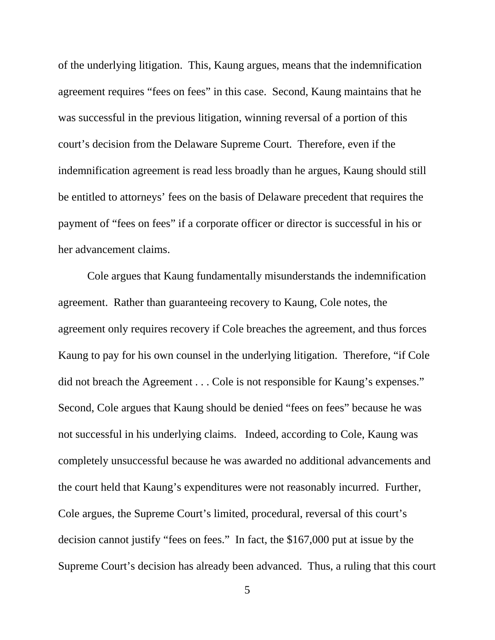of the underlying litigation. This, Kaung argues, means that the indemnification agreement requires "fees on fees" in this case. Second, Kaung maintains that he was successful in the previous litigation, winning reversal of a portion of this court's decision from the Delaware Supreme Court. Therefore, even if the indemnification agreement is read less broadly than he argues, Kaung should still be entitled to attorneys' fees on the basis of Delaware precedent that requires the payment of "fees on fees" if a corporate officer or director is successful in his or her advancement claims.

Cole argues that Kaung fundamentally misunderstands the indemnification agreement. Rather than guaranteeing recovery to Kaung, Cole notes, the agreement only requires recovery if Cole breaches the agreement, and thus forces Kaung to pay for his own counsel in the underlying litigation. Therefore, "if Cole did not breach the Agreement . . . Cole is not responsible for Kaung's expenses." Second, Cole argues that Kaung should be denied "fees on fees" because he was not successful in his underlying claims. Indeed, according to Cole, Kaung was completely unsuccessful because he was awarded no additional advancements and the court held that Kaung's expenditures were not reasonably incurred. Further, Cole argues, the Supreme Court's limited, procedural, reversal of this court's decision cannot justify "fees on fees." In fact, the \$167,000 put at issue by the Supreme Court's decision has already been advanced. Thus, a ruling that this court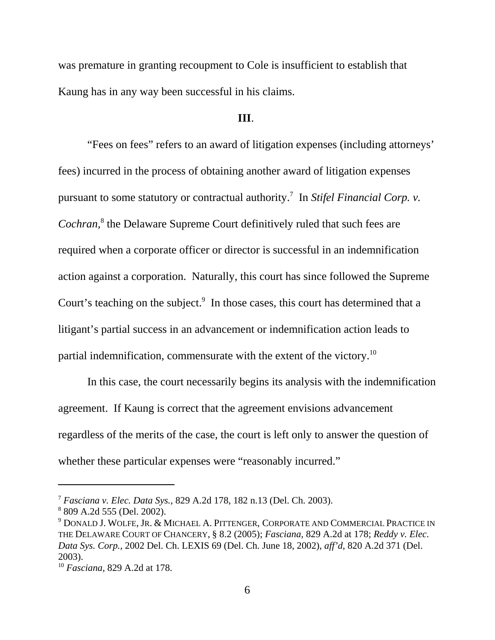was premature in granting recoupment to Cole is insufficient to establish that Kaung has in any way been successful in his claims.

#### **III**.

 "Fees on fees" refers to an award of litigation expenses (including attorneys' fees) incurred in the process of obtaining another award of litigation expenses pursuant to some statutory or contractual authority.<sup>7</sup> In *Stifel Financial Corp. v. Cochran,*<sup>8</sup> the Delaware Supreme Court definitively ruled that such fees are required when a corporate officer or director is successful in an indemnification action against a corporation. Naturally, this court has since followed the Supreme Court's teaching on the subject. $9$  In those cases, this court has determined that a litigant's partial success in an advancement or indemnification action leads to partial indemnification, commensurate with the extent of the victory.10

In this case, the court necessarily begins its analysis with the indemnification agreement. If Kaung is correct that the agreement envisions advancement regardless of the merits of the case, the court is left only to answer the question of whether these particular expenses were "reasonably incurred."

<sup>7</sup> *Fasciana v. Elec. Data Sys.,* 829 A.2d 178, 182 n.13 (Del. Ch. 2003).

<sup>8</sup> 809 A.2d 555 (Del. 2002).

<sup>9</sup> DONALD J. WOLFE, JR. & MICHAEL A. PITTENGER, CORPORATE AND COMMERCIAL PRACTICE IN THE DELAWARE COURT OF CHANCERY, § 8.2 (2005); *Fasciana,* 829 A.2d at 178; *Reddy v. Elec. Data Sys. Corp.,* 2002 Del. Ch. LEXIS 69 (Del. Ch. June 18, 2002), *aff'd*, 820 A.2d 371 (Del. 2003).

<sup>10</sup> *Fasciana,* 829 A.2d at 178.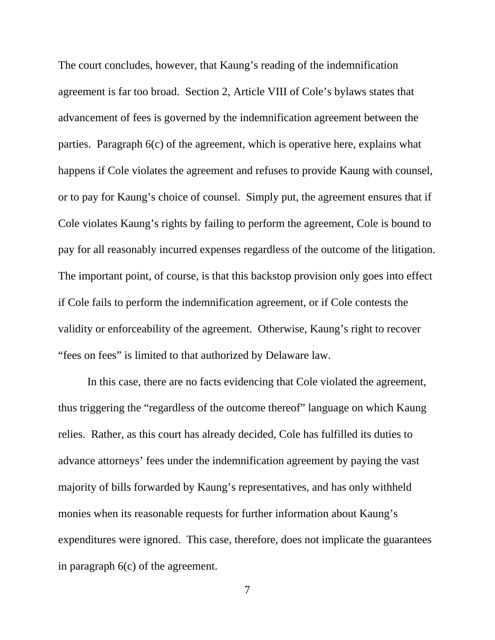The court concludes, however, that Kaung's reading of the indemnification agreement is far too broad. Section 2, Article VIII of Cole's bylaws states that advancement of fees is governed by the indemnification agreement between the parties. Paragraph 6(c) of the agreement, which is operative here, explains what happens if Cole violates the agreement and refuses to provide Kaung with counsel, or to pay for Kaung's choice of counsel. Simply put, the agreement ensures that if Cole violates Kaung's rights by failing to perform the agreement, Cole is bound to pay for all reasonably incurred expenses regardless of the outcome of the litigation. The important point, of course, is that this backstop provision only goes into effect if Cole fails to perform the indemnification agreement, or if Cole contests the validity or enforceability of the agreement. Otherwise, Kaung's right to recover "fees on fees" is limited to that authorized by Delaware law.

In this case, there are no facts evidencing that Cole violated the agreement, thus triggering the "regardless of the outcome thereof" language on which Kaung relies. Rather, as this court has already decided, Cole has fulfilled its duties to advance attorneys' fees under the indemnification agreement by paying the vast majority of bills forwarded by Kaung's representatives, and has only withheld monies when its reasonable requests for further information about Kaung's expenditures were ignored. This case, therefore, does not implicate the guarantees in paragraph 6(c) of the agreement.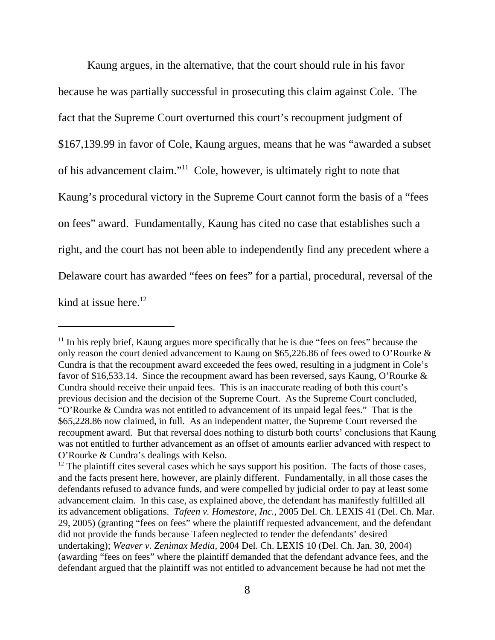Kaung argues, in the alternative, that the court should rule in his favor because he was partially successful in prosecuting this claim against Cole. The fact that the Supreme Court overturned this court's recoupment judgment of \$167,139.99 in favor of Cole, Kaung argues, means that he was "awarded a subset of his advancement claim."11 Cole, however, is ultimately right to note that Kaung's procedural victory in the Supreme Court cannot form the basis of a "fees on fees" award. Fundamentally, Kaung has cited no case that establishes such a right, and the court has not been able to independently find any precedent where a Delaware court has awarded "fees on fees" for a partial, procedural, reversal of the kind at issue here. $12$ 

 $11$  In his reply brief, Kaung argues more specifically that he is due "fees on fees" because the only reason the court denied advancement to Kaung on \$65,226.86 of fees owed to O'Rourke & Cundra is that the recoupment award exceeded the fees owed, resulting in a judgment in Cole's favor of \$16,533.14. Since the recoupment award has been reversed, says Kaung, O'Rourke & Cundra should receive their unpaid fees. This is an inaccurate reading of both this court's previous decision and the decision of the Supreme Court. As the Supreme Court concluded, "O'Rourke & Cundra was not entitled to advancement of its unpaid legal fees." That is the \$65,228.86 now claimed, in full. As an independent matter, the Supreme Court reversed the recoupment award. But that reversal does nothing to disturb both courts' conclusions that Kaung was not entitled to further advancement as an offset of amounts earlier advanced with respect to O'Rourke & Cundra's dealings with Kelso.

 $12$  The plaintiff cites several cases which he says support his position. The facts of those cases, and the facts present here, however, are plainly different. Fundamentally, in all those cases the defendants refused to advance funds, and were compelled by judicial order to pay at least some advancement claim. In this case, as explained above, the defendant has manifestly fulfilled all its advancement obligations. *Tafeen v. Homestore, Inc.*, 2005 Del. Ch. LEXIS 41 (Del. Ch. Mar. 29, 2005) (granting "fees on fees" where the plaintiff requested advancement, and the defendant did not provide the funds because Tafeen neglected to tender the defendants' desired undertaking); *Weaver v. Zenimax Media,* 2004 Del. Ch. LEXIS 10 (Del. Ch. Jan. 30, 2004) (awarding "fees on fees" where the plaintiff demanded that the defendant advance fees, and the defendant argued that the plaintiff was not entitled to advancement because he had not met the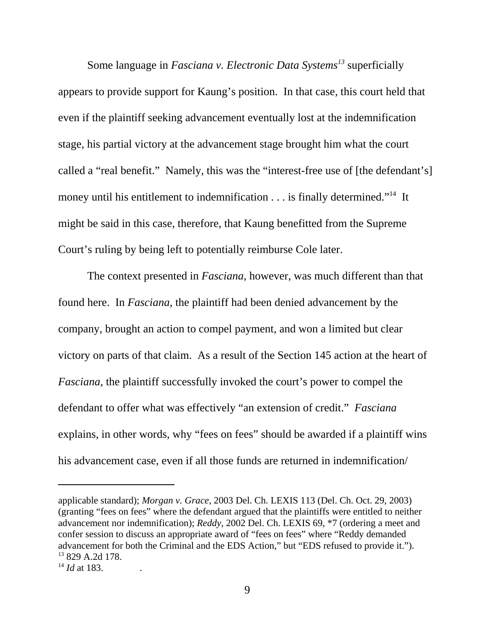Some language in *Fasciana v. Electronic Data Systems*<sup>13</sup> superficially appears to provide support for Kaung's position. In that case, this court held that even if the plaintiff seeking advancement eventually lost at the indemnification stage, his partial victory at the advancement stage brought him what the court called a "real benefit." Namely, this was the "interest-free use of [the defendant's] money until his entitlement to indemnification . . . is finally determined."<sup>14</sup> It might be said in this case, therefore, that Kaung benefitted from the Supreme Court's ruling by being left to potentially reimburse Cole later.

The context presented in *Fasciana*, however, was much different than that found here. In *Fasciana*, the plaintiff had been denied advancement by the company, brought an action to compel payment, and won a limited but clear victory on parts of that claim. As a result of the Section 145 action at the heart of *Fasciana,* the plaintiff successfully invoked the court's power to compel the defendant to offer what was effectively "an extension of credit." *Fasciana* explains, in other words, why "fees on fees" should be awarded if a plaintiff wins his advancement case, even if all those funds are returned in indemnification/

applicable standard); *Morgan v. Grace*, 2003 Del. Ch. LEXIS 113 (Del. Ch. Oct. 29, 2003) (granting "fees on fees" where the defendant argued that the plaintiffs were entitled to neither advancement nor indemnification); *Reddy*, 2002 Del. Ch. LEXIS 69, \*7 (ordering a meet and confer session to discuss an appropriate award of "fees on fees" where "Reddy demanded advancement for both the Criminal and the EDS Action," but "EDS refused to provide it."). 13 829 A.2d 178.

 $^{14}$  *Id at 183.*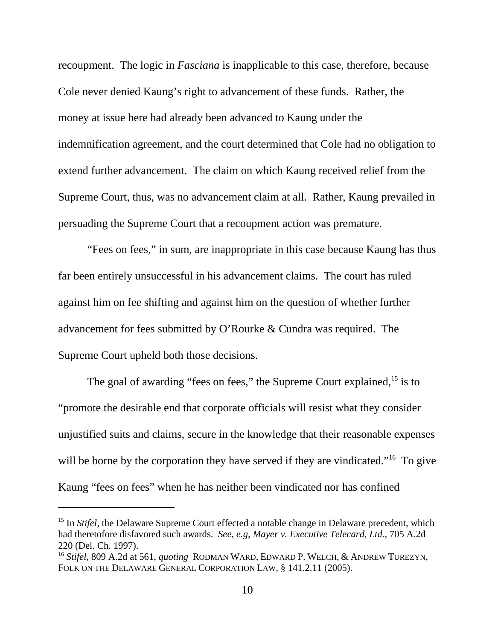recoupment. The logic in *Fasciana* is inapplicable to this case, therefore, because Cole never denied Kaung's right to advancement of these funds. Rather, the money at issue here had already been advanced to Kaung under the indemnification agreement, and the court determined that Cole had no obligation to extend further advancement. The claim on which Kaung received relief from the Supreme Court, thus, was no advancement claim at all. Rather, Kaung prevailed in persuading the Supreme Court that a recoupment action was premature.

"Fees on fees," in sum, are inappropriate in this case because Kaung has thus far been entirely unsuccessful in his advancement claims. The court has ruled against him on fee shifting and against him on the question of whether further advancement for fees submitted by O'Rourke & Cundra was required. The Supreme Court upheld both those decisions.

The goal of awarding "fees on fees," the Supreme Court explained, $15$  is to "promote the desirable end that corporate officials will resist what they consider unjustified suits and claims, secure in the knowledge that their reasonable expenses will be borne by the corporation they have served if they are vindicated."<sup>16</sup> To give Kaung "fees on fees" when he has neither been vindicated nor has confined

<sup>&</sup>lt;sup>15</sup> In *Stifel*, the Delaware Supreme Court effected a notable change in Delaware precedent, which had theretofore disfavored such awards. *See, e.g, Mayer v. Executive Telecard, Ltd.,* 705 A.2d 220 (Del. Ch. 1997).

<sup>16</sup> *Stifel,* 809 A.2d at 561, *quoting* RODMAN WARD, EDWARD P. WELCH, & ANDREW TUREZYN, FOLK ON THE DELAWARE GENERAL CORPORATION LAW, § 141.2.11 (2005).